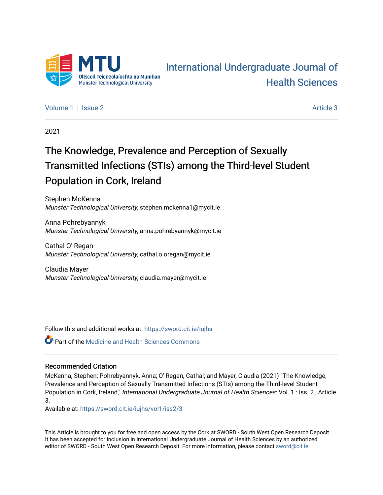

# [International Undergraduate Journal of](https://sword.cit.ie/iujhs)  [Health Sciences](https://sword.cit.ie/iujhs)

[Volume 1](https://sword.cit.ie/iujhs/vol1) | [Issue 2](https://sword.cit.ie/iujhs/vol1/iss2) Article 3

2021

# The Knowledge, Prevalence and Perception of Sexually Transmitted Infections (STIs) among the Third-level Student Population in Cork, Ireland

Stephen McKenna Munster Technological University, stephen.mckenna1@mycit.ie

Anna Pohrebyannyk Munster Technological University, anna.pohrebyannyk@mycit.ie

Cathal O' Regan Munster Technological University, cathal.o.oregan@mycit.ie

Claudia Mayer Munster Technological University, claudia.mayer@mycit.ie

Follow this and additional works at: [https://sword.cit.ie/iujhs](https://sword.cit.ie/iujhs?utm_source=sword.cit.ie%2Fiujhs%2Fvol1%2Fiss2%2F3&utm_medium=PDF&utm_campaign=PDFCoverPages) 

**C** Part of the Medicine and Health Sciences Commons

# Recommended Citation

McKenna, Stephen; Pohrebyannyk, Anna; O' Regan, Cathal; and Mayer, Claudia (2021) "The Knowledge, Prevalence and Perception of Sexually Transmitted Infections (STIs) among the Third-level Student Population in Cork, Ireland," International Undergraduate Journal of Health Sciences: Vol. 1 : Iss. 2 , Article 3.

Available at: [https://sword.cit.ie/iujhs/vol1/iss2/3](https://sword.cit.ie/iujhs/vol1/iss2/3?utm_source=sword.cit.ie%2Fiujhs%2Fvol1%2Fiss2%2F3&utm_medium=PDF&utm_campaign=PDFCoverPages) 

This Article is brought to you for free and open access by the Cork at SWORD - South West Open Research Deposit. It has been accepted for inclusion in International Undergraduate Journal of Health Sciences by an authorized editor of SWORD - South West Open Research Deposit. For more information, please contact [sword@cit.ie](mailto:sword@cit.ie).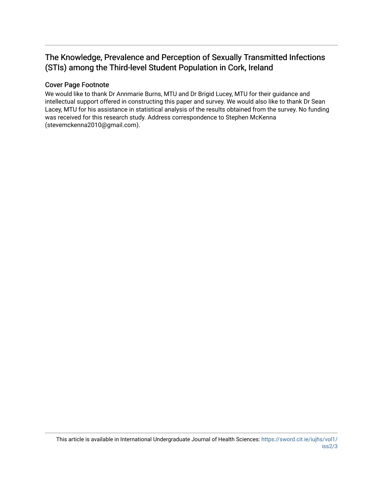# The Knowledge, Prevalence and Perception of Sexually Transmitted Infections (STIs) among the Third-level Student Population in Cork, Ireland

# Cover Page Footnote

We would like to thank Dr Annmarie Burns, MTU and Dr Brigid Lucey, MTU for their guidance and intellectual support offered in constructing this paper and survey. We would also like to thank Dr Sean Lacey, MTU for his assistance in statistical analysis of the results obtained from the survey. No funding was received for this research study. Address correspondence to Stephen McKenna (stevemckenna2010@gmail.com).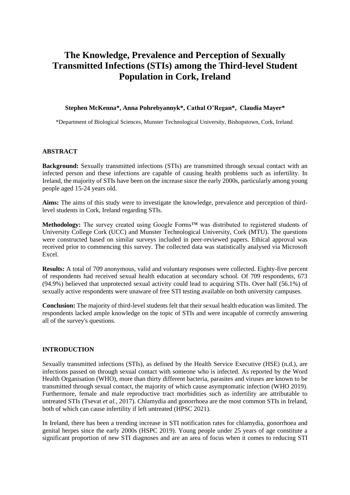# **The Knowledge, Prevalence and Perception of Sexually Transmitted Infections (STIs) among the Third-level Student Population in Cork, Ireland**

#### **Stephen McKenna\*, Anna Pohrebyannyk\*, Cathal O'Regan\*, Claudia Mayer\***

\*Department of Biological Sciences, Munster Technological University, Bishopstown, Cork, Ireland.

#### **ABSTRACT**

**Background:** Sexually transmitted infections (STIs) are transmitted through sexual contact with an infected person and these infections are capable of causing health problems such as infertility. In Ireland, the majority of STIs have been on the increase since the early 2000s, particularly among young people aged 15-24 years old.

**Aims:** The aims of this study were to investigate the knowledge, prevalence and perception of thirdlevel students in Cork, Ireland regarding STIs.

**Methodology:** The survey created using Google Forms™ was distributed to registered students of University College Cork (UCC) and Munster Technological University, Cork (MTU). The questions were constructed based on similar surveys included in peer-reviewed papers. Ethical approval was received prior to commencing this survey. The collected data was statistically analysed via Microsoft Excel.

**Results:** A total of 709 anonymous, valid and voluntary responses were collected. Eighty-five percent of respondents had received sexual health education at secondary school. Of 709 respondents, 673 (94.9%) believed that unprotected sexual activity could lead to acquiring STIs. Over half (56.1%) of sexually active respondents were unaware of free STI testing available on both university campuses.

**Conclusion:** The majority of third-level students felt that their sexual health education was limited. The respondents lacked ample knowledge on the topic of STIs and were incapable of correctly answering all of the survey's questions.

#### **INTRODUCTION**

Sexually transmitted infections (STIs), as defined by the Health Service Executive (HSE) (n.d.), are infections passed on through sexual contact with someone who is infected. As reported by the Word Health Organisation (WHO), more than thirty different bacteria, parasites and viruses are known to be transmitted through sexual contact, the majority of which cause asymptomatic infection (WHO 2019). Furthermore, female and male reproductive tract morbidities such as infertility are attributable to untreated STIs (Tsevat *et al.,* 2017). Chlamydia and gonorrhoea are the most common STIs in Ireland, both of which can cause infertility if left untreated (HPSC 2021).

In Ireland, there has been a trending increase in STI notification rates for chlamydia, gonorrhoea and genital herpes since the early 2000s (HSPC 2019). Young people under 25 years of age constitute a significant proportion of new STI diagnoses and are an area of focus when it comes to reducing STI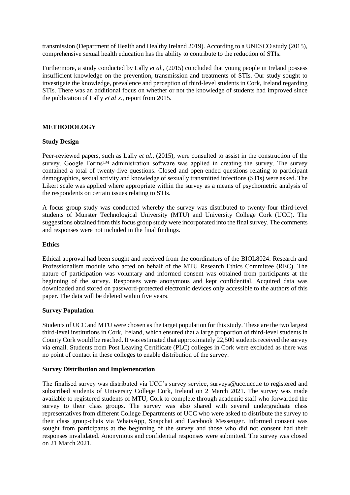transmission (Department of Health and Healthy Ireland 2019). According to a UNESCO study (2015), comprehensive sexual health education has the ability to contribute to the reduction of STIs.

Furthermore, a study conducted by Lally *et al.,* (2015) concluded that young people in Ireland possess insufficient knowledge on the prevention, transmission and treatments of STIs. Our study sought to investigate the knowledge, prevalence and perception of third-level students in Cork, Ireland regarding STIs. There was an additional focus on whether or not the knowledge of students had improved since the publication of Lally *et al's*., report from 2015.

# **METHODOLOGY**

# **Study Design**

Peer-reviewed papers, such as Lally *et al.*, (2015), were consulted to assist in the construction of the survey. Google Forms<sup>™</sup> administration software was applied in creating the survey. The survey contained a total of twenty-five questions. Closed and open-ended questions relating to participant demographics, sexual activity and knowledge of sexually transmitted infections (STIs) were asked. The Likert scale was applied where appropriate within the survey as a means of psychometric analysis of the respondents on certain issues relating to STIs.

A focus group study was conducted whereby the survey was distributed to twenty-four third-level students of Munster Technological University (MTU) and University College Cork (UCC). The suggestions obtained from this focus group study were incorporated into the final survey. The comments and responses were not included in the final findings.

#### **Ethics**

Ethical approval had been sought and received from the coordinators of the BIOL8024: Research and Professionalism module who acted on behalf of the MTU Research Ethics Committee (REC). The nature of participation was voluntary and informed consent was obtained from participants at the beginning of the survey. Responses were anonymous and kept confidential. Acquired data was downloaded and stored on password-protected electronic devices only accessible to the authors of this paper. The data will be deleted within five years.

# **Survey Population**

Students of UCC and MTU were chosen as the target population for this study. These are the two largest third-level institutions in Cork, Ireland, which ensured that a large proportion of third-level students in County Cork would be reached. It was estimated that approximately 22,500 students received the survey via email. Students from Post Leaving Certificate (PLC) colleges in Cork were excluded as there was no point of contact in these colleges to enable distribution of the survey.

# **Survey Distribution and Implementation**

The finalised survey was distributed via UCC's survey service, [surveys@ucc.ucc.ie](mailto:surveys@ucc.ucc.ie) to registered and subscribed students of University College Cork, Ireland on 2 March 2021. The survey was made available to registered students of MTU, Cork to complete through academic staff who forwarded the survey to their class groups. The survey was also shared with several undergraduate class representatives from different College Departments of UCC who were asked to distribute the survey to their class group-chats via WhatsApp, Snapchat and Facebook Messenger. Informed consent was sought from participants at the beginning of the survey and those who did not consent had their responses invalidated. Anonymous and confidential responses were submitted. The survey was closed on 21 March 2021.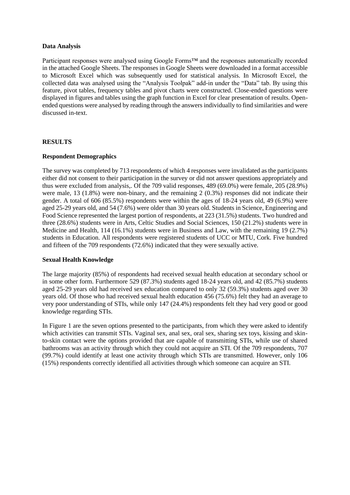#### **Data Analysis**

Participant responses were analysed using Google Forms<sup>™</sup> and the responses automatically recorded in the attached Google Sheets. The responses in Google Sheets were downloaded in a format accessible to Microsoft Excel which was subsequently used for statistical analysis. In Microsoft Excel, the collected data was analysed using the "Analysis Toolpak" add-in under the "Data" tab. By using this feature, pivot tables, frequency tables and pivot charts were constructed. Close-ended questions were displayed in figures and tables using the graph function in Excel for clear presentation of results. Openended questions were analysed by reading through the answers individually to find similarities and were discussed in-text.

# **RESULTS**

# **Respondent Demographics**

The survey was completed by 713 respondents of which 4 responses were invalidated as the participants either did not consent to their participation in the survey or did not answer questions appropriately and thus were excluded from analysis,. Of the 709 valid responses, 489 (69.0%) were female, 205 (28.9%) were male, 13 (1.8%) were non-binary, and the remaining 2 (0.3%) responses did not indicate their gender. A total of 606 (85.5%) respondents were within the ages of 18-24 years old, 49 (6.9%) were aged 25-29 years old, and 54 (7.6%) were older than 30 years old. Students in Science, Engineering and Food Science represented the largest portion of respondents, at 223 (31.5%) students. Two hundred and three (28.6%) students were in Arts, Celtic Studies and Social Sciences, 150 (21.2%) students were in Medicine and Health, 114 (16.1%) students were in Business and Law, with the remaining 19 (2.7%) students in Education. All respondents were registered students of UCC or MTU, Cork. Five hundred and fifteen of the 709 respondents (72.6%) indicated that they were sexually active.

# **Sexual Health Knowledge**

The large majority (85%) of respondents had received sexual health education at secondary school or in some other form. Furthermore 529 (87.3%) students aged 18-24 years old, and 42 (85.7%) students aged 25-29 years old had received sex education compared to only 32 (59.3%) students aged over 30 years old. Of those who had received sexual health education 456 (75.6%) felt they had an average to very poor understanding of STIs, while only 147 (24.4%) respondents felt they had very good or good knowledge regarding STIs.

In Figure 1 are the seven options presented to the participants, from which they were asked to identify which activities can transmit STIs. Vaginal sex, anal sex, oral sex, sharing sex toys, kissing and skinto-skin contact were the options provided that are capable of transmitting STIs, while use of shared bathrooms was an activity through which they could not acquire an STI. Of the 709 respondents, 707 (99.7%) could identify at least one activity through which STIs are transmitted. However, only 106 (15%) respondents correctly identified all activities through which someone can acquire an STI.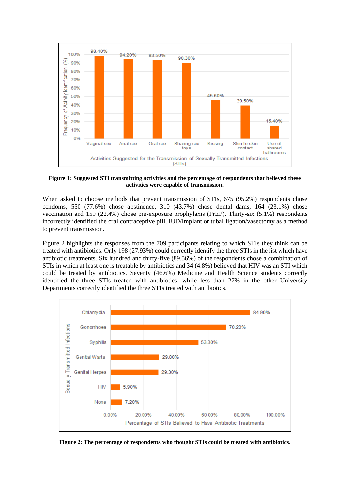

**Figure 1: Suggested STI transmitting activities and the percentage of respondents that believed these activities were capable of transmission.**

When asked to choose methods that prevent transmission of STIs, 675 (95.2%) respondents chose condoms, 550 (77.6%) chose abstinence, 310 (43.7%) chose dental dams, 164 (23.1%) chose vaccination and 159 (22.4%) chose pre-exposure prophylaxis (PrEP). Thirty-six (5.1%) respondents incorrectly identified the oral contraceptive pill, IUD/Implant or tubal ligation/vasectomy as a method to prevent transmission.

Figure 2 highlights the responses from the 709 participants relating to which STIs they think can be treated with antibiotics. Only 198 (27.93%) could correctly identify the three STIs in the list which have antibiotic treatments. Six hundred and thirty-five (89.56%) of the respondents chose a combination of STIs in which at least one is treatable by antibiotics and 34 (4.8%) believed that HIV was an STI which could be treated by antibiotics. Seventy (46.6%) Medicine and Health Science students correctly identified the three STIs treated with antibiotics, while less than 27% in the other University Departments correctly identified the three STIs treated with antibiotics.



**Figure 2: The percentage of respondents who thought STIs could be treated with antibiotics.**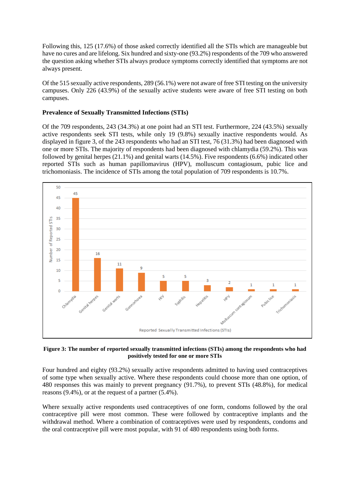Following this, 125 (17.6%) of those asked correctly identified all the STIs which are manageable but have no cures and are lifelong. Six hundred and sixty-one (93.2%) respondents of the 709 who answered the question asking whether STIs always produce symptoms correctly identified that symptoms are not always present.

Of the 515 sexually active respondents, 289 (56.1%) were not aware of free STI testing on the university campuses. Only 226 (43.9%) of the sexually active students were aware of free STI testing on both campuses.

# **Prevalence of Sexually Transmitted Infections (STIs)**

Of the 709 respondents, 243 (34.3%) at one point had an STI test. Furthermore, 224 (43.5%) sexually active respondents seek STI tests, while only 19 (9.8%) sexually inactive respondents would. As displayed in figure 3, of the 243 respondents who had an STI test, 76 (31.3%) had been diagnosed with one or more STIs. The majority of respondents had been diagnosed with chlamydia (59.2%). This was followed by genital herpes (21.1%) and genital warts (14.5%). Five respondents (6.6%) indicated other reported STIs such as human papillomavirus (HPV), molluscum contagiosum, pubic lice and trichomoniasis. The incidence of STIs among the total population of 709 respondents is 10.7%.



#### **Figure 3: The number of reported sexually transmitted infections (STIs) among the respondents who had positively tested for one or more STIs**

Four hundred and eighty (93.2%) sexually active respondents admitted to having used contraceptives of some type when sexually active. Where these respondents could choose more than one option, of 480 responses this was mainly to prevent pregnancy (91.7%), to prevent STIs (48.8%), for medical reasons (9.4%), or at the request of a partner (5.4%).

Where sexually active respondents used contraceptives of one form, condoms followed by the oral contraceptive pill were most common. These were followed by contraceptive implants and the withdrawal method. Where a combination of contraceptives were used by respondents, condoms and the oral contraceptive pill were most popular, with 91 of 480 respondents using both forms.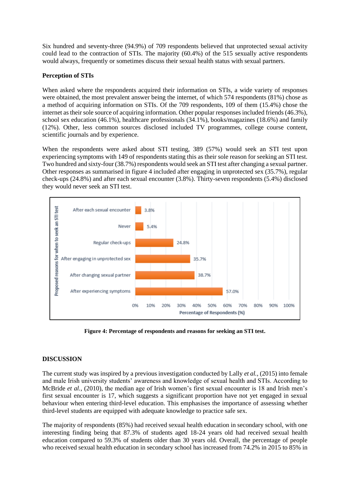Six hundred and seventy-three (94.9%) of 709 respondents believed that unprotected sexual activity could lead to the contraction of STIs. The majority (60.4%) of the 515 sexually active respondents would always, frequently or sometimes discuss their sexual health status with sexual partners.

# **Perception of STIs**

When asked where the respondents acquired their information on STIs, a wide variety of responses were obtained, the most prevalent answer being the internet, of which 574 respondents (81%) chose as a method of acquiring information on STIs. Of the 709 respondents, 109 of them (15.4%) chose the internet as their sole source of acquiring information. Other popular responses included friends (46.3%), school sex education (46.1%), healthcare professionals (34.1%), books/magazines (18.6%) and family (12%). Other, less common sources disclosed included TV programmes, college course content, scientific journals and by experience.

When the respondents were asked about STI testing, 389 (57%) would seek an STI test upon experiencing symptoms with 149 of respondents stating this as their sole reason for seeking an STI test. Two hundred and sixty-four (38.7%) respondents would seek an STI test after changing a sexual partner. Other responses as summarised in figure 4 included after engaging in unprotected sex (35.7%), regular check-ups (24.8%) and after each sexual encounter (3.8%). Thirty-seven respondents (5.4%) disclosed they would never seek an STI test.



**Figure 4: Percentage of respondents and reasons for seeking an STI test.**

# **DISCUSSION**

The current study was inspired by a previous investigation conducted by Lally *et al.,* (2015) into female and male Irish university students' awareness and knowledge of sexual health and STIs. According to McBride *et al.,* (2010), the median age of Irish women's first sexual encounter is 18 and Irish men's first sexual encounter is 17, which suggests a significant proportion have not yet engaged in sexual behaviour when entering third-level education. This emphasises the importance of assessing whether third-level students are equipped with adequate knowledge to practice safe sex.

The majority of respondents (85%) had received sexual health education in secondary school, with one interesting finding being that 87.3% of students aged 18-24 years old had received sexual health education compared to 59.3% of students older than 30 years old. Overall, the percentage of people who received sexual health education in secondary school has increased from 74.2% in 2015 to 85% in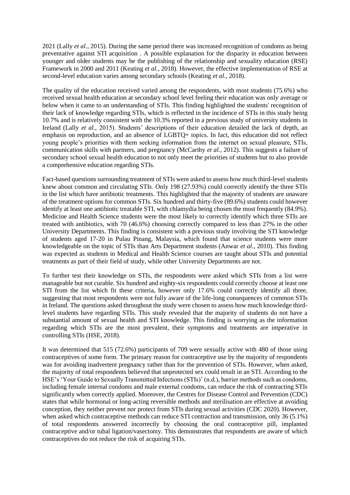2021 (Lally *et al*., 2015). During the same period there was increased recognition of condoms as being preventative against STI acquisition . A possible explanation for the disparity in education between younger and older students may be the publishing of the relationship and sexuality education (RSE) Framework in 2000 and 2011 (Keating *et al.,* 2018). However, the effective implementation of RSE at second-level education varies among secondary schools (Keating *et al.,* 2018).

The quality of the education received varied among the respondents, with most students (75.6%) who received sexual health education at secondary school level feeling their education was only average or below when it came to an understanding of STIs. This finding highlighted the students' recognition of their lack of knowledge regarding STIs, which is reflected in the incidence of STIs in this study being 10.7% and is relatively consistent with the 10.3% reported in a previous study of university students in Ireland (Lally *et al.,* 2015). Students' descriptions of their education detailed the lack of depth, an emphasis on reproduction, and an absence of LGBTQ+ topics. In fact, this education did not reflect young people's priorities with them seeking information from the internet on sexual pleasure, STIs, communication skills with partners, and pregnancy (McCarthy *et al.,* 2012). This suggests a failure of secondary school sexual health education to not only meet the priorities of students but to also provide a comprehensive education regarding STIs.

Fact-based questions surrounding treatment of STIs were asked to assess how much third-level students knew about common and circulating STIs. Only 198 (27.93%) could correctly identify the three STIs in the list which have antibiotic treatments. This highlighted that the majority of students are unaware of the treatment options for common STIs. Six hundred and thirty-five (89.6%) students could however identify at least one antibiotic treatable STI, with chlamydia being chosen the most frequently (84.9%). Medicine and Health Science students were the most likely to correctly identify which three STIs are treated with antibiotics, with 70 (46.6%) choosing correctly compared to less than 27% in the other University Departments. This finding is consistent with a previous study involving the STI knowledge of students aged 17-20 in Pulau Pinang, Malaysia, which found that science students were more knowledgeable on the topic of STIs than Arts Department students (Anwar *et al.,* 2010). This finding was expected as students in Medical and Health Science courses are taught about STIs and potential treatments as part of their field of study, while other University Departments are not.

To further test their knowledge on STIs, the respondents were asked which STIs from a list were manageable but not curable. Six hundred and eighty-six respondents could correctly choose at least one STI from the list which fit these criteria, however only 17.6% could correctly identify all three, suggesting that most respondents were not fully aware of the life-long consequences of common STIs in Ireland. The questions asked throughout the study were chosen to assess how much knowledge thirdlevel students have regarding STIs. This study revealed that the majority of students do not have a substantial amount of sexual health and STI knowledge. This finding is worrying as the information regarding which STIs are the most prevalent, their symptoms and treatments are imperative in controlling STIs (HSE, 2018).

It was determined that 515 (72.6%) participants of 709 were sexually active with 480 of those using contraceptives of some form. The primary reason for contraceptive use by the majority of respondents was for avoiding inadvertent pregnancy rather than for the prevention of STIs. However, when asked, the majority of total respondents believed that unprotected sex could result in an STI. According to the HSE's 'Your Guide to Sexually Transmitted Infections (STIs)' (n.d.), barrier methods such as condoms, including female internal condoms and male external condoms, can reduce the risk of contracting STIs significantly when correctly applied. Moreover, the Centres for Disease Control and Prevention (CDC) states that while hormonal or long-acting reversible methods and sterilisation are effective at avoiding conception, they neither prevent nor protect from STIs during sexual activities (CDC 2020). However, when asked which contraceptive methods can reduce STI contraction and transmission, only 36 (5.1%) of total respondents answered incorrectly by choosing the oral contraceptive pill, implanted contraceptive and/or tubal ligation/vasectomy. This demonstrates that respondents are aware of which contraceptives do not reduce the risk of acquiring STIs.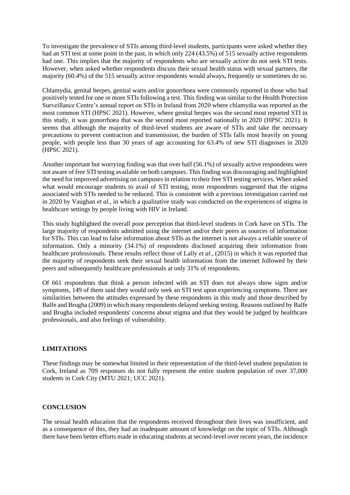To investigate the prevalence of STIs among third-level students, participants were asked whether they had an STI test at some point in the past, in which only 224 (43.5%) of 515 sexually active respondents had one. This implies that the majority of respondents who are sexually active do not seek STI tests. However, when asked whether respondents discuss their sexual health status with sexual partners, the majority (60.4%) of the 515 sexually active respondents would always, frequently or sometimes do so.

Chlamydia, genital herpes, genital warts and/or gonorrhoea were commonly reported in those who had positively tested for one or more STIs following a test. This finding was similar to the Health Protection Surveillance Centre's annual report on STIs in Ireland from 2020 where chlamydia was reported as the most common STI (HPSC 2021). However, where genital herpes was the second most reported STI in this study, it was gonorrhoea that was the second most reported nationally in 2020 (HPSC 2021). It seems that although the majority of third-level students are aware of STIs and take the necessary precautions to prevent contraction and transmission, the burden of STIs falls most heavily on young people, with people less than 30 years of age accounting for 63.4% of new STI diagnoses in 2020 (HPSC 2021).

Another important but worrying finding was that over half (56.1%) of sexually active respondents were not aware of free STI testing available on both campuses. This finding was discouraging and highlighted the need for improved advertising on campuses in relation to their free STI testing services. When asked what would encourage students to avail of STI testing, most respondents suggested that the stigma associated with STIs needed to be reduced. This is consistent with a previous investigation carried out in 2020 by Vaughan *et al.,* in which a qualitative study was conducted on the experiences of stigma in healthcare settings by people living with HIV in Ireland.

This study highlighted the overall poor perception that third-level students in Cork have on STIs. The large majority of respondents admitted using the internet and/or their peers as sources of information for STIs. This can lead to false information about STIs as the internet is not always a reliable source of information. Only a minority (34.1%) of respondents disclosed acquiring their information from healthcare professionals. These results reflect those of Lally *et al.,* (2015) in which it was reported that the majority of respondents seek their sexual health information from the internet followed by their peers and subsequently healthcare professionals at only 31% of respondents.

Of 661 respondents that think a person infected with an STI does not always show signs and/or symptoms, 149 of them said they would only seek an STI test upon experiencing symptoms. There are similarities between the attitudes expressed by these respondents in this study and those described by Balfe and Brugha (2009) in which many respondents delayed seeking testing. Reasons outlined by Balfe and Brugha included respondents' concerns about stigma and that they would be judged by healthcare professionals, and also feelings of vulnerability.

# **LIMITATIONS**

These findings may be somewhat limited in their representation of the third-level student population in Cork, Ireland as 709 responses do not fully represent the entire student population of over 37,000 students in Cork City (MTU 2021; UCC 2021).

# **CONCLUSION**

The sexual health education that the respondents received throughout their lives was insufficient, and as a consequence of this, they had an inadequate amount of knowledge on the topic of STIs. Although there have been better efforts made in educating students at second-level over recent years, the incidence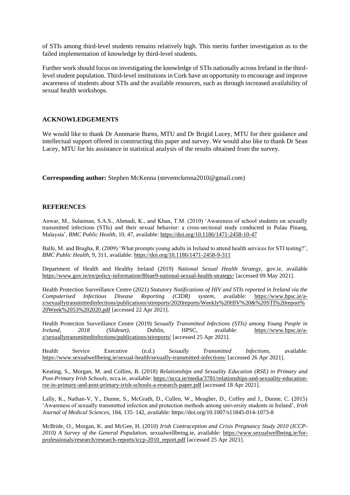of STIs among third-level students remains relatively high. This merits further investigation as to the failed implementation of knowledge by third-level students.

Further work should focus on investigating the knowledge of STIs nationally across Ireland in the thirdlevel student population. Third-level institutions in Cork have an opportunity to encourage and improve awareness of students about STIs and the available resources, such as through increased availability of sexual health workshops.

# **ACKNOWLEDGEMENTS**

We would like to thank Dr Annmarie Burns, MTU and Dr Brigid Lucey, MTU for their guidance and intellectual support offered in constructing this paper and survey. We would also like to thank Dr Sean Lacey, MTU for his assistance in statistical analysis of the results obtained from the survey.

**Corresponding author:** Stephen McKenna (stevemckenna2010@gmail.com)

#### **REFERENCES**

Anwar, M., Sulaiman, S.A.S., Ahmadi, K., and Khan, T.M. (2010) 'Awareness of school students on sexually transmitted infections (STIs) and their sexual behavior: a cross-sectional study conducted in Pulau Pinang, Malaysia', *BMC Public Health*, 10, 47, available:<https://doi.org/10.1186/1471-2458-10-47>

Balfe, M. and Brugha, R. (2009) 'What prompts young adults in Ireland to attend health services for STI testing?', *BMC Public Health,* 9, 311, available:<https://doi.org/10.1186/1471-2458-9-311>

Department of Health and Healthy Ireland (2019) *National Sexual Health Strategy*, gov.ie, available <https://www.gov.ie/en/policy-information/8feae9-national-sexual-health-strategy/> [accessed 09 May 2021].

Health Protection Surveillance Centre (2021) *Statutory Notifications of HIV and STIs reported in Ireland via the Computerised Infectious Disease Reporting (CIDR) system*, available: [https://www.hpsc.ie/a](https://www.hpsc.ie/a-z/sexuallytransmittedinfections/publications/stireports/2020reports/Weekly%20HIV%20&%20STI%20report%20Week%2053%202020.pdf)[z/sexuallytransmittedinfections/publications/stireports/2020reports/Weekly%20HIV%20&%20STI%20report%](https://www.hpsc.ie/a-z/sexuallytransmittedinfections/publications/stireports/2020reports/Weekly%20HIV%20&%20STI%20report%20Week%2053%202020.pdf) [20Week%2053%202020.pdf](https://www.hpsc.ie/a-z/sexuallytransmittedinfections/publications/stireports/2020reports/Weekly%20HIV%20&%20STI%20report%20Week%2053%202020.pdf) [accessed 22 Apr 2021].

Health Protection Surveillance Centre (2019) *Sexually Transmitted Infections (STIs) among Young People in Ireland, 2018 (Slideset)*, Dublin, HPSC, available: [https://www.hpsc.ie/a](https://www.hpsc.ie/a-z/sexuallytransmittedinfections/publications/stireports/)[z/sexuallytransmittedinfections/publications/stireports/](https://www.hpsc.ie/a-z/sexuallytransmittedinfections/publications/stireports/) [accessed 25 Apr 2021].

Health Service Executive (n.d.) *Sexually Transmitted Infections*, available: <https://www.sexualwellbeing.ie/sexual-health/sexually-transmitted-infections/> [accessed 26 Apr 2021].

Keating, S., Morgan, M. and Collins, B. (2018) *Relationships and Sexuality Education (RSE) in Primary and Post-Primary Irish Schools*, ncca.ie, available: [https://ncca.ie/media/3781/relationships-and-sexuality-education](https://ncca.ie/media/3781/relationships-and-sexuality-education-rse-in-primary-and-post-primary-irish-schools-a-research-paper.pdf)[rse-in-primary-and-post-primary-irish-schools-a-research-paper.pdf](https://ncca.ie/media/3781/relationships-and-sexuality-education-rse-in-primary-and-post-primary-irish-schools-a-research-paper.pdf) [accessed 18 Apr 2021].

Lally, K., Nathan-V, Y., Dunne, S., McGrath, D., Cullen, W., Meagher, D., Coffey and J., Dunne, C. (2015) 'Awareness of sexually transmitted infection and protection methods among university students in Ireland', *Irish Journal of Medical Sciences*, 184, 135–142, available:<https://doi.org/10.1007/s11845-014-1073-8>

McBride, O., Morgan, K. and McGee, H. (2010) *Irish Contraception and Crisis Pregnancy Study 2010 (ICCP-2010) A Survey of the General Population,* sexualwellbeing.ie, available: [https://www.sexualwellbeing.ie/for](https://www.sexualwellbeing.ie/for-professionals/research/research-reports/iccp-2010_report.pdf)[professionals/research/research-reports/iccp-2010\\_report.pdf](https://www.sexualwellbeing.ie/for-professionals/research/research-reports/iccp-2010_report.pdf) [accessed 25 Apr 2021].